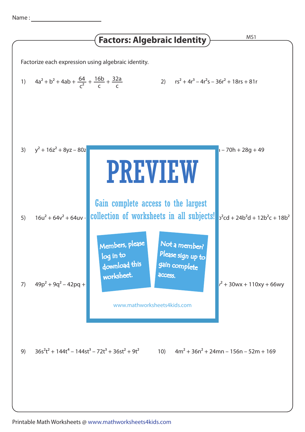